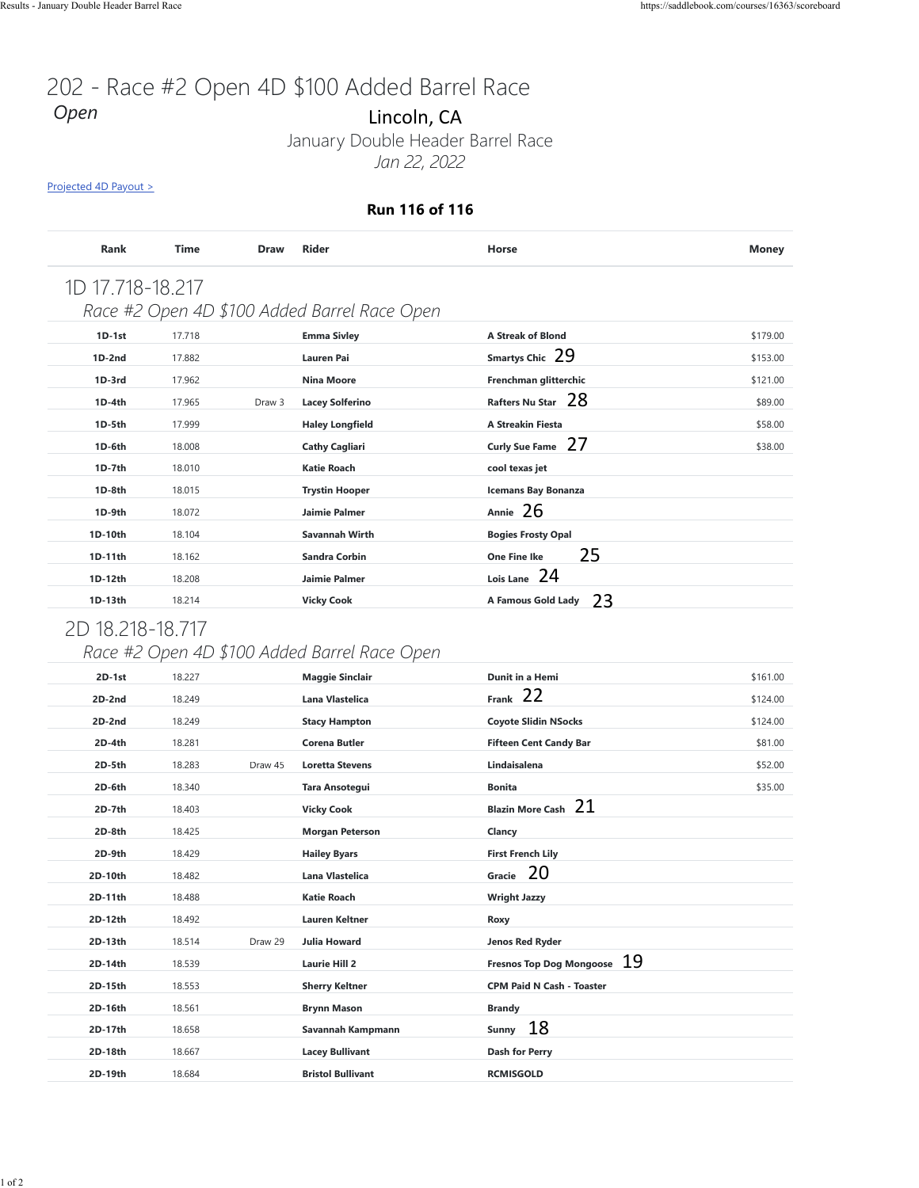#### **Run 116 of 116**

| <b>Rank</b>      | <b>Time</b> | <b>Draw</b> | <b>Rider</b>                                 | Horse                      | <b>Money</b> |
|------------------|-------------|-------------|----------------------------------------------|----------------------------|--------------|
| 1D 17.718-18.217 |             |             |                                              |                            |              |
|                  |             |             | Race #2 Open 4D \$100 Added Barrel Race Open |                            |              |
| $1D-1st$         | 17.718      |             | <b>Emma Sivley</b>                           | <b>A Streak of Blond</b>   | \$179.00     |
| $1D-2nd$         | 17.882      |             | Lauren Pai                                   | Smartys Chic 29            | \$153.00     |
| $1D-3rd$         | 17.962      |             | <b>Nina Moore</b>                            | Frenchman glitterchic      | \$121.00     |
| $1D-4th$         | 17.965      | Draw 3      | <b>Lacey Solferino</b>                       | Rafters Nu Star 28         | \$89.00      |
| 1D-5th           | 17.999      |             | <b>Haley Longfield</b>                       | <b>A Streakin Fiesta</b>   | \$58.00      |
| 1D-6th           | 18,008      |             | <b>Cathy Cagliari</b>                        | Curly Sue Fame 27          | \$38.00      |
| 1D-7th           | 18.010      |             | <b>Katie Roach</b>                           | cool texas jet             |              |
| 1D-8th           | 18.015      |             | <b>Trystin Hooper</b>                        | <b>Icemans Bay Bonanza</b> |              |
| 1D-9th           | 18.072      |             | <b>Jaimie Palmer</b>                         | Annie $26$                 |              |
| 1D-10th          | 18.104      |             | <b>Savannah Wirth</b>                        | <b>Bogies Frosty Opal</b>  |              |
| 1D-11th          | 18.162      |             | <b>Sandra Corbin</b>                         | 25<br><b>One Fine Ike</b>  |              |
| 1D-12th          | 18.208      |             | <b>Jaimie Palmer</b>                         | Lois Lane 24               |              |
| 1D-13th          | 18.214      |             | <b>Vicky Cook</b>                            | -23<br>A Famous Gold Lady  |              |
|                  |             |             |                                              |                            |              |

## 2D 18.218-18.717

### *Race #2 Open 4D \$100 Added Barrel Race Open*

|                    |                  |             | Run 116 of 116                                                         |                                           |  |
|--------------------|------------------|-------------|------------------------------------------------------------------------|-------------------------------------------|--|
| Rank               | Time             | <b>Draw</b> | Rider                                                                  | Horse                                     |  |
| 1D 17.718-18.217   |                  |             |                                                                        |                                           |  |
|                    |                  |             | Race #2 Open 4D \$100 Added Barrel Race Open                           |                                           |  |
| $1D-1st$           | 17.718           |             | <b>Emma Sivley</b>                                                     | <b>A Streak of Blond</b>                  |  |
| 1D-2nd             | 17.882           |             | Lauren Pai                                                             | Smartys Chic 29                           |  |
| 1D-3rd             | 17.962           |             | <b>Nina Moore</b>                                                      | Frenchman glitterchic                     |  |
| 1D-4th             | 17.965           | Draw 3      | <b>Lacey Solferino</b>                                                 | Rafters Nu Star 28                        |  |
| 1D-5th             | 17.999           |             | <b>Haley Longfield</b>                                                 | A Streakin Fiesta                         |  |
| 1D-6th             | 18.008           |             | <b>Cathy Cagliari</b>                                                  | Curly Sue Fame 27                         |  |
| 1D-7th             | 18.010           |             | <b>Katie Roach</b>                                                     | cool texas jet                            |  |
| 1D-8th             | 18.015           |             | <b>Trystin Hooper</b>                                                  | <b>Icemans Bay Bonanza</b>                |  |
| 1D-9th             | 18.072           |             | Jaimie Palmer                                                          | Annie 26                                  |  |
| 1D-10th            | 18.104           |             | Savannah Wirth                                                         | <b>Bogies Frosty Opal</b>                 |  |
| 1D-11th            | 18.162           |             | Sandra Corbin                                                          | 25<br><b>One Fine Ike</b><br>Lois Lane 24 |  |
| 1D-12th<br>1D-13th | 18.208<br>18.214 |             | Jaimie Palmer<br><b>Vicky Cook</b>                                     | 23<br>A Famous Gold Lady                  |  |
| 2D-1st             | 18.227           |             | Race #2 Open 4D \$100 Added Barrel Race Open<br><b>Maggie Sinclair</b> | Dunit in a Hemi                           |  |
| 2D-2nd             | 18.249           |             | Lana Vlastelica                                                        | Frank 22                                  |  |
| 2D-2nd             | 18.249           |             | <b>Stacy Hampton</b>                                                   | <b>Coyote Slidin NSocks</b>               |  |
| 2D-4th             | 18.281           |             | <b>Corena Butler</b>                                                   | <b>Fifteen Cent Candy Bar</b>             |  |
| 2D-5th             | 18.283           | Draw 45     | <b>Loretta Stevens</b>                                                 | Lindaisalena                              |  |
| 2D-6th             | 18.340           |             | Tara Ansotegui                                                         | <b>Bonita</b>                             |  |
| 2D-7th             | 18.403           |             | <b>Vicky Cook</b>                                                      | Blazin More Cash 21                       |  |
| 2D-8th             | 18.425           |             | <b>Morgan Peterson</b>                                                 | Clancy                                    |  |
| 2D-9th             | 18.429           |             | <b>Hailey Byars</b>                                                    | <b>First French Lily</b><br>Gracie 20     |  |
| 2D-10th<br>2D-11th | 18.482<br>18.488 |             | Lana Vlastelica<br>Katie Roach                                         | <b>Wright Jazzy</b>                       |  |
| 2D-12th            | 18.492           |             | <b>Lauren Keltner</b>                                                  | Roxy                                      |  |
| 2D-13th            | 18.514           | Draw 29     | <b>Julia Howard</b>                                                    | Jenos Red Ryder                           |  |
| 2D-14th            | 18.539           |             | Laurie Hill 2                                                          | Fresnos Top Dog Mongoose 19               |  |
| 2D-15th            | 18.553           |             | <b>Sherry Keltner</b>                                                  | <b>CPM Paid N Cash - Toaster</b>          |  |
| 2D-16th            | 18.561           |             | <b>Brynn Mason</b>                                                     | <b>Brandy</b>                             |  |
| 2D-17th            | 18.658           |             | Savannah Kampmann                                                      | Sunny 18                                  |  |
| 2D-18th            | 18.667           |             | <b>Lacey Bullivant</b>                                                 | Dash for Perry                            |  |
| 2D-19th            | 18.684           |             | <b>Bristol Bullivant</b>                                               | <b>RCMISGOLD</b>                          |  |
|                    |                  |             |                                                                        |                                           |  |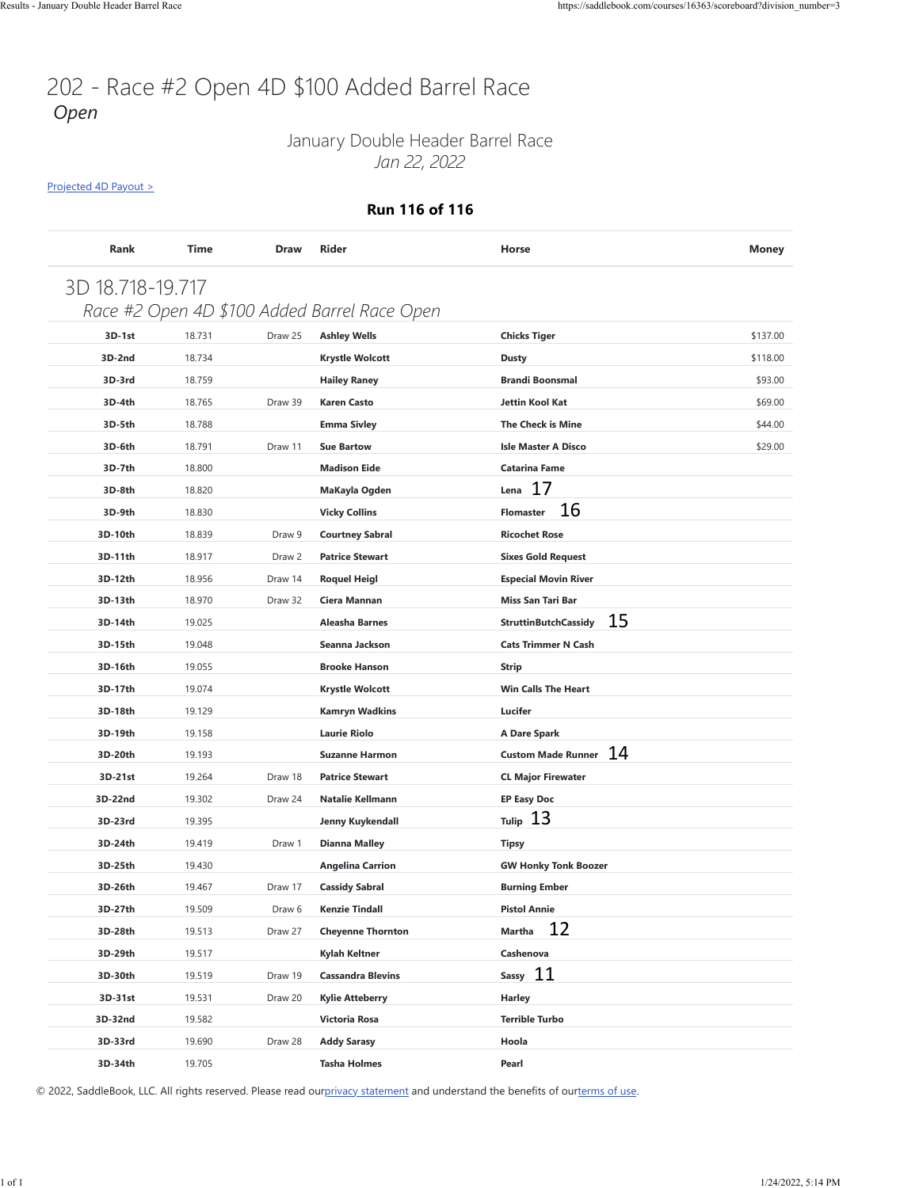### January Double Header Barrel Race *Jan 22, 2022*

[Projected 4D Payout >](https://saddlebook.com/courses/16363/scoreboard?division_number=3#payout-projection-16363)

#### **Run 116 of 116**

|         |        |         | Race #2 Open 4D \$100 Added Barrel Race Open |                                 |          |
|---------|--------|---------|----------------------------------------------|---------------------------------|----------|
| 3D-1st  | 18.731 | Draw 25 | <b>Ashley Wells</b>                          | <b>Chicks Tiger</b>             | \$137.00 |
| 3D-2nd  | 18.734 |         | <b>Krystle Wolcott</b>                       | <b>Dusty</b>                    | \$118.00 |
| 3D-3rd  | 18.759 |         | <b>Hailey Raney</b>                          | <b>Brandi Boonsmal</b>          | \$93.00  |
| 3D-4th  | 18.765 | Draw 39 | <b>Karen Casto</b>                           | Jettin Kool Kat                 | \$69.00  |
| 3D-5th  | 18.788 |         | <b>Emma Sivley</b>                           | <b>The Check is Mine</b>        | \$44.00  |
| 3D-6th  | 18.791 | Draw 11 | <b>Sue Bartow</b>                            | <b>Isle Master A Disco</b>      | \$29.00  |
| 3D-7th  | 18.800 |         | <b>Madison Eide</b>                          | <b>Catarina Fame</b><br>17      |          |
| 3D-8th  | 18.820 |         | MaKayla Ogden                                | Lena<br>16                      |          |
| 3D-9th  | 18.830 |         | <b>Vicky Collins</b>                         | <b>Flomaster</b>                |          |
| 3D-10th | 18.839 | Draw 9  | <b>Courtney Sabral</b>                       | <b>Ricochet Rose</b>            |          |
| 3D-11th | 18.917 | Draw 2  | <b>Patrice Stewart</b>                       | <b>Sixes Gold Request</b>       |          |
| 3D-12th | 18.956 | Draw 14 | <b>Roquel Heigl</b>                          | <b>Especial Movin River</b>     |          |
| 3D-13th | 18.970 | Draw 32 | Ciera Mannan                                 | <b>Miss San Tari Bar</b><br>15  |          |
| 3D-14th | 19.025 |         | Aleasha Barnes                               | <b>StruttinButchCassidy</b>     |          |
| 3D-15th | 19.048 |         | Seanna Jackson                               | <b>Cats Trimmer N Cash</b>      |          |
| 3D-16th | 19.055 |         | <b>Brooke Hanson</b>                         | <b>Strip</b>                    |          |
| 3D-17th | 19.074 |         | <b>Krystle Wolcott</b>                       | <b>Win Calls The Heart</b>      |          |
| 3D-18th | 19.129 |         | <b>Kamryn Wadkins</b>                        | Lucifer                         |          |
| 3D-19th | 19.158 |         | <b>Laurie Riolo</b>                          | A Dare Spark                    |          |
| 3D-20th | 19.193 |         | <b>Suzanne Harmon</b>                        | 14<br><b>Custom Made Runner</b> |          |
| 3D-21st | 19.264 | Draw 18 | <b>Patrice Stewart</b>                       | <b>CL Major Firewater</b>       |          |
| 3D-22nd | 19.302 | Draw 24 | <b>Natalie Kellmann</b>                      | <b>EP Easy Doc</b>              |          |
| 3D-23rd | 19.395 |         | Jenny Kuykendall                             | Tulip $13$                      |          |
| 3D-24th | 19.419 | Draw 1  | <b>Dianna Malley</b>                         | Tipsy                           |          |
| 3D-25th | 19.430 |         | <b>Angelina Carrion</b>                      | <b>GW Honky Tonk Boozer</b>     |          |
| 3D-26th | 19.467 | Draw 17 | <b>Cassidy Sabral</b>                        | <b>Burning Ember</b>            |          |
| 3D-27th | 19.509 | Draw 6  | <b>Kenzie Tindall</b>                        | <b>Pistol Annie</b>             |          |
| 3D-28th | 19.513 | Draw 27 | <b>Cheyenne Thornton</b>                     | 12<br><b>Martha</b>             |          |
| 3D-29th | 19.517 |         | Kylah Keltner                                | Cashenova                       |          |
| 3D-30th | 19.519 | Draw 19 | <b>Cassandra Blevins</b>                     | Sassy 11                        |          |
| 3D-31st | 19.531 | Draw 20 | <b>Kylie Atteberry</b>                       | Harley                          |          |
| 3D-32nd | 19.582 |         | Victoria Rosa                                | <b>Terrible Turbo</b>           |          |
| 3D-33rd | 19.690 | Draw 28 | <b>Addy Sarasy</b>                           | Hoola                           |          |
| 3D-34th | 19.705 |         | <b>Tasha Holmes</b>                          | Pearl                           |          |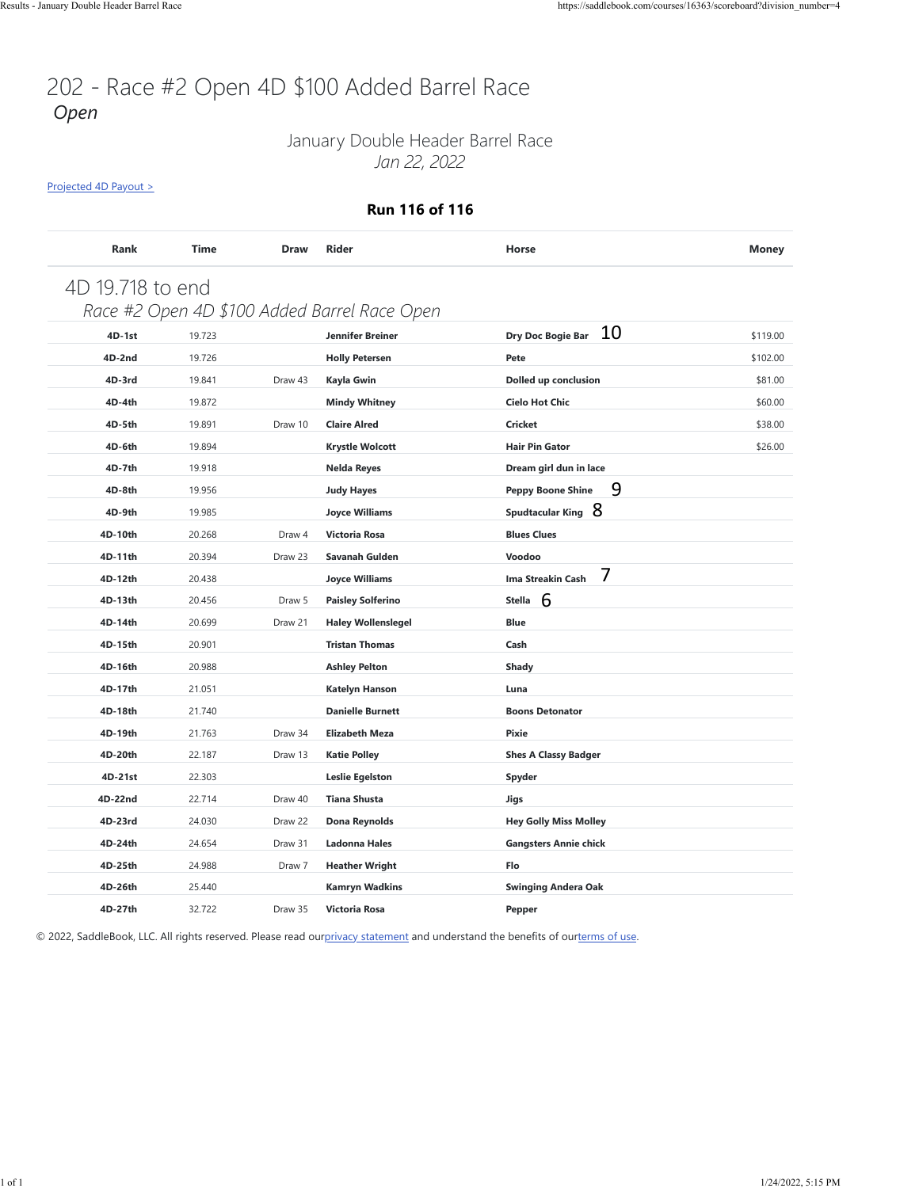### January Double Header Barrel Race *Jan 22, 2022*

[Projected 4D Payout >](https://saddlebook.com/courses/16363/scoreboard?division_number=4#payout-projection-16363)

#### **Run 116 of 116**

| Rank             | Time   | <b>Draw</b> | <b>Rider</b>                                 | Horse                                                                                                                          | <b>Money</b> |
|------------------|--------|-------------|----------------------------------------------|--------------------------------------------------------------------------------------------------------------------------------|--------------|
| 4D 19.718 to end |        |             |                                              |                                                                                                                                |              |
|                  |        |             | Race #2 Open 4D \$100 Added Barrel Race Open |                                                                                                                                |              |
| 4D-1st           | 19.723 |             | Jennifer Breiner                             | 10<br>Dry Doc Bogie Bar                                                                                                        | \$119.00     |
| 4D-2nd           | 19.726 |             | <b>Holly Petersen</b>                        | Pete                                                                                                                           | \$102.00     |
| 4D-3rd           | 19.841 | Draw 43     | Kayla Gwin                                   | Dolled up conclusion                                                                                                           | \$81.00      |
| 4D-4th           | 19.872 |             | <b>Mindy Whitney</b>                         | <b>Cielo Hot Chic</b>                                                                                                          | \$60.00      |
| 4D-5th           | 19.891 | Draw 10     | <b>Claire Alred</b>                          | <b>Cricket</b>                                                                                                                 | \$38.00      |
| 4D-6th           | 19.894 |             | <b>Krystle Wolcott</b>                       | <b>Hair Pin Gator</b>                                                                                                          | \$26.00      |
| 4D-7th           | 19.918 |             | Nelda Reyes                                  | Dream girl dun in lace                                                                                                         |              |
| 4D-8th           | 19.956 |             | <b>Judy Hayes</b>                            | 9<br><b>Peppy Boone Shine</b>                                                                                                  |              |
| 4D-9th           | 19.985 |             | <b>Joyce Williams</b>                        | Spudtacular King 8                                                                                                             |              |
| 4D-10th          | 20.268 | Draw 4      | Victoria Rosa                                | <b>Blues Clues</b>                                                                                                             |              |
| 4D-11th          | 20.394 | Draw 23     | Savanah Gulden                               | Voodoo                                                                                                                         |              |
| 4D-12th          | 20.438 |             | <b>Joyce Williams</b>                        | 7<br>Ima Streakin Cash                                                                                                         |              |
| 4D-13th          | 20.456 | Draw 5      | <b>Paisley Solferino</b>                     | Stella $6$                                                                                                                     |              |
| 4D-14th          | 20.699 | Draw 21     | <b>Haley Wollenslegel</b>                    | <b>Blue</b>                                                                                                                    |              |
| 4D-15th          | 20.901 |             | <b>Tristan Thomas</b>                        | Cash                                                                                                                           |              |
| 4D-16th          | 20.988 |             | <b>Ashley Pelton</b>                         | <b>Shady</b>                                                                                                                   |              |
| 4D-17th          | 21.051 |             | <b>Katelyn Hanson</b>                        | Luna                                                                                                                           |              |
| 4D-18th          | 21.740 |             | <b>Danielle Burnett</b>                      | <b>Boons Detonator</b>                                                                                                         |              |
| 4D-19th          | 21.763 | Draw 34     | <b>Elizabeth Meza</b>                        | Pixie                                                                                                                          |              |
| 4D-20th          | 22.187 | Draw 13     | <b>Katie Polley</b>                          | <b>Shes A Classy Badger</b>                                                                                                    |              |
| 4D-21st          | 22.303 |             | <b>Leslie Egelston</b>                       | Spyder                                                                                                                         |              |
| 4D-22nd          | 22.714 | Draw 40     | <b>Tiana Shusta</b>                          | Jigs                                                                                                                           |              |
| 4D-23rd          | 24.030 | Draw 22     | Dona Reynolds                                | <b>Hey Golly Miss Molley</b>                                                                                                   |              |
| 4D-24th          | 24.654 | Draw 31     | <b>Ladonna Hales</b>                         | <b>Gangsters Annie chick</b>                                                                                                   |              |
| 4D-25th          | 24.988 | Draw 7      | <b>Heather Wright</b>                        | Flo                                                                                                                            |              |
| 4D-26th          | 25.440 |             | <b>Kamryn Wadkins</b>                        | <b>Swinging Andera Oak</b>                                                                                                     |              |
| 4D-27th          | 32.722 |             | Draw 35 Victoria Rosa                        | Pepper                                                                                                                         |              |
|                  |        |             |                                              | © 2022, SaddleBook, LLC. All rights reserved. Please read ourprivacy statement and understand the benefits of ourterms of use. |              |
|                  |        |             |                                              |                                                                                                                                |              |